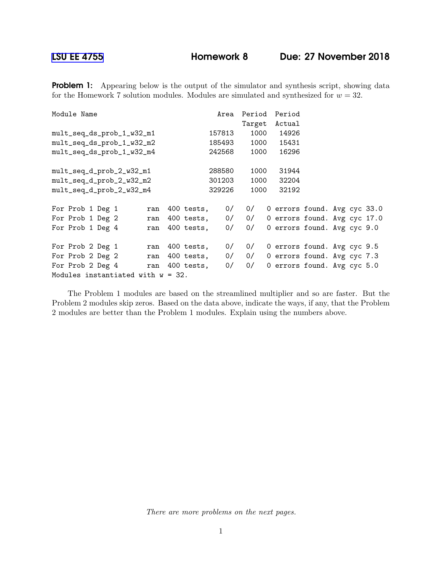**Problem 1:** Appearing below is the output of the simulator and synthesis script, showing data for the Homework 7 solution modules. Modules are simulated and synthesized for  $w = 32$ .

| Module Name                          |            | Area   | Period | Period                       |  |  |
|--------------------------------------|------------|--------|--------|------------------------------|--|--|
|                                      |            |        | Target | Actual                       |  |  |
| mult_seq_ds_prob_1_w32_m1            |            | 157813 | 1000   | 14926                        |  |  |
| mult_seq_ds_prob_1_w32_m2            |            | 185493 | 1000   | 15431                        |  |  |
| mult_seq_ds_prob_1_w32_m4            |            | 242568 | 1000   | 16296                        |  |  |
| mult_seq_d_prob_2_w32_m1             |            | 288580 | 1000   | 31944                        |  |  |
| mult_seq_d_prob_2_w32_m2             |            | 301203 | 1000   | 32204                        |  |  |
| mult_seq_d_prob_2_w32_m4             |            | 329226 | 1000   | 32192                        |  |  |
| For Prob 1 Deg 1<br>ran              | 400 tests, | 0/     | 0/     | 0 errors found. Avg cyc 33.0 |  |  |
| For Prob 1 Deg 2<br>ran              | 400 tests, | 0/     | 0/     | 0 errors found. Avg cyc 17.0 |  |  |
| For Prob 1 Deg 4<br>ran              | 400 tests, | 0/     | 0/     | 0 errors found. Avg cyc 9.0  |  |  |
| For Prob 2 Deg 1<br>ran              | 400 tests, | 0/     | 0/     | 0 errors found. Avg cyc 9.5  |  |  |
| For Prob 2 Deg 2<br>ran              | 400 tests, | 0/     | 0/     | 0 errors found. Avg cyc 7.3  |  |  |
| For Prob 2 Deg 4<br>ran              | 400 tests, | 0/     | 0/     | 0 errors found. Avg cyc 5.0  |  |  |
| Modules instantiated with $w = 32$ . |            |        |        |                              |  |  |

The Problem 1 modules are based on the streamlined multiplier and so are faster. But the Problem 2 modules skip zeros. Based on the data above, indicate the ways, if any, that the Problem 2 modules are better than the Problem 1 modules. Explain using the numbers above.

There are more problems on the next pages.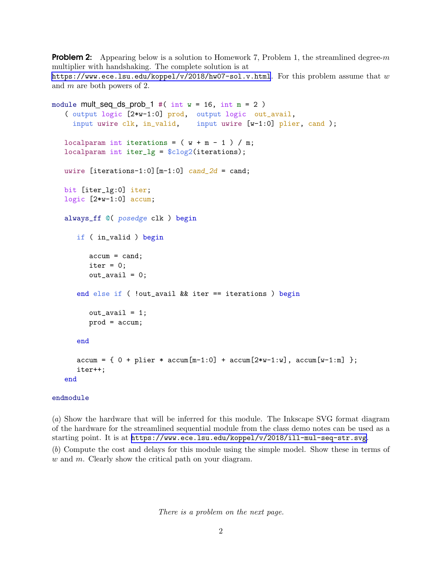**Problem 2:** Appearing below is a solution to Homework 7, Problem 1, the streamlined degree-m multiplier with handshaking. The complete solution is at <https://www.ece.lsu.edu/koppel/v/2018/hw07-sol.v.html>. For this problem assume that  $w$ and m are both powers of 2.

```
module mult_seq_ds_prob_1 #( int w = 16, int m = 2 )
( output logic [2*w-1:0] prod, output logic out_avail,
  input uwire clk, in_valid, input uwire [w-1:0] plier, cand );
localparam int iterations = (w + m - 1) / m;
localparam int iter_lg = $clog2(iterations);
uwire [iterations-1:0] [m-1:0] cand_2d = cand;
bit [iter_lg:0] iter;
logic [2*w-1:0] accum;
always_ff @( posedge clk ) begin
   if ( in_valid ) begin
       \text{accum} = \text{cand};iter = 0;out<sub>_avail</sub> = 0;
   end else if ( !out_avail && iter == iterations ) begin
       out_avail = 1;
       prod = accum;
   end
   \text{accum} = \{ 0 + \text{plier} * \text{accum}[\text{m-1:0}] + \text{accum}[\text{2*w-1:w}], \text{accum}[\text{w-1:m}] \};
   iter++;
end
```
## endmodule

(a) Show the hardware that will be inferred for this module. The Inkscape SVG format diagram of the hardware for the streamlined sequential module from the class demo notes can be used as a starting point. It is at <https://www.ece.lsu.edu/koppel/v/2018/ill-mul-seq-str.svg>.

(b) Compute the cost and delays for this module using the simple model. Show these in terms of  $w$  and  $m$ . Clearly show the critical path on your diagram.

There is a problem on the next page.